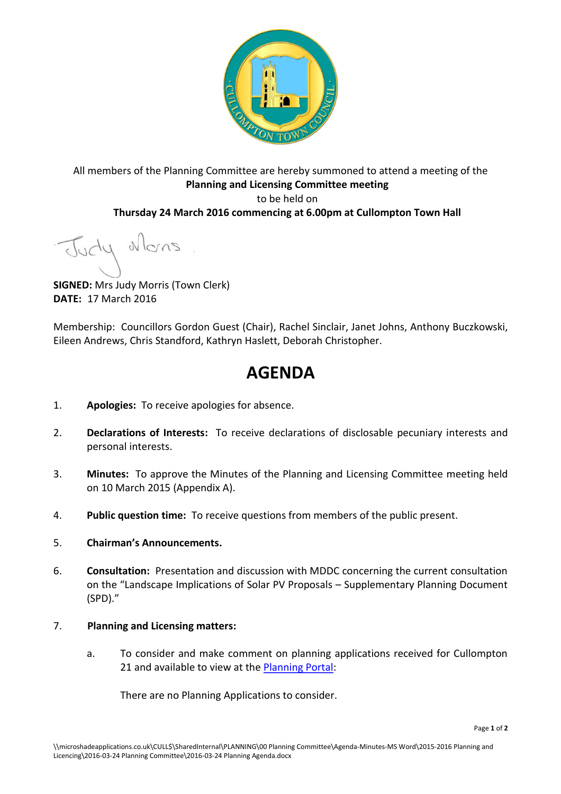

All members of the Planning Committee are hereby summoned to attend a meeting of the **Planning and Licensing Committee meeting**  to be held on **Thursday 24 March 2016 commencing at 6.00pm at Cullompton Town Hall** 

Judy Mons

**SIGNED:** Mrs Judy Morris (Town Clerk) **DATE:** 17 March 2016

Membership: Councillors Gordon Guest (Chair), Rachel Sinclair, Janet Johns, Anthony Buczkowski, Eileen Andrews, Chris Standford, Kathryn Haslett, Deborah Christopher.

# **AGENDA**

- 1. **Apologies:** To receive apologies for absence.
- 2. **Declarations of Interests:** To receive declarations of disclosable pecuniary interests and personal interests.
- 3. **Minutes:** To approve the Minutes of the Planning and Licensing Committee meeting held on 10 March 2015 (Appendix A).
- 4. **Public question time:** To receive questions from members of the public present.

#### 5. **Chairman's Announcements.**

6. **Consultation:** Presentation and discussion with MDDC concerning the current consultation on the "Landscape Implications of Solar PV Proposals – Supplementary Planning Document (SPD)."

## 7. **Planning and Licensing matters:**

a. To consider and make comment on planning applications received for Cullompton 21 and available to view at the [Planning Portal:](http://planning.middevon.gov.uk/online-applications/refineSearch.do?action=refine)

There are no Planning Applications to consider.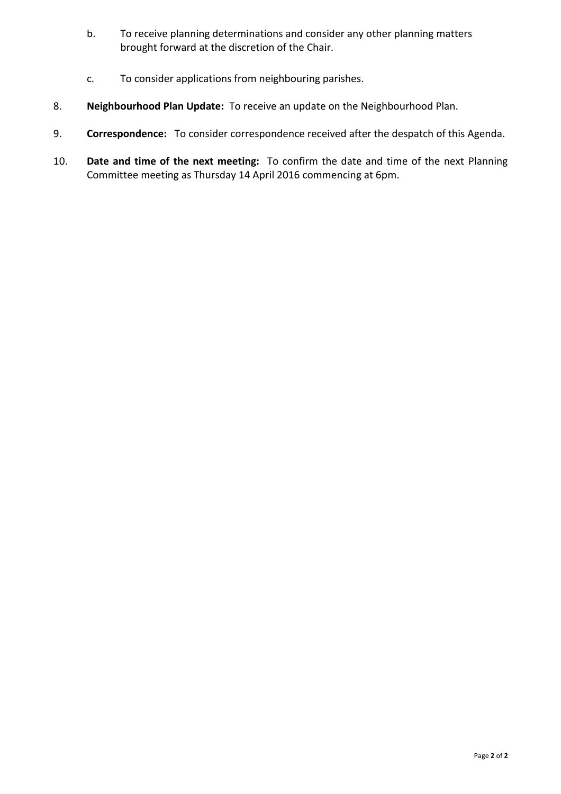- b. To receive planning determinations and consider any other planning matters brought forward at the discretion of the Chair.
- c. To consider applications from neighbouring parishes.
- 8. **Neighbourhood Plan Update:** To receive an update on the Neighbourhood Plan.
- 9. **Correspondence:** To consider correspondence received after the despatch of this Agenda.
- 10. **Date and time of the next meeting:** To confirm the date and time of the next Planning Committee meeting as Thursday 14 April 2016 commencing at 6pm.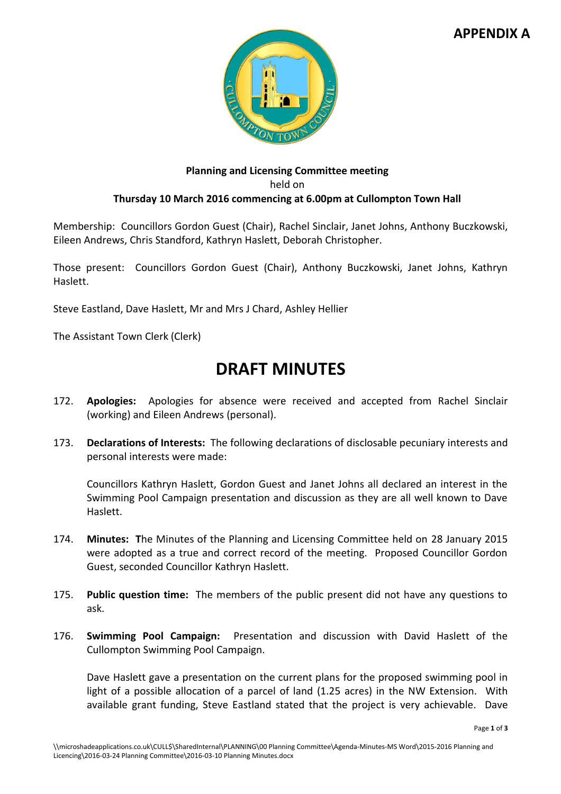# **APPENDIX A**



## **Planning and Licensing Committee meeting**  held on **Thursday 10 March 2016 commencing at 6.00pm at Cullompton Town Hall**

Membership: Councillors Gordon Guest (Chair), Rachel Sinclair, Janet Johns, Anthony Buczkowski, Eileen Andrews, Chris Standford, Kathryn Haslett, Deborah Christopher.

Those present: Councillors Gordon Guest (Chair), Anthony Buczkowski, Janet Johns, Kathryn Haslett.

Steve Eastland, Dave Haslett, Mr and Mrs J Chard, Ashley Hellier

The Assistant Town Clerk (Clerk)

# **DRAFT MINUTES**

- 172. **Apologies:** Apologies for absence were received and accepted from Rachel Sinclair (working) and Eileen Andrews (personal).
- 173. **Declarations of Interests:** The following declarations of disclosable pecuniary interests and personal interests were made:

Councillors Kathryn Haslett, Gordon Guest and Janet Johns all declared an interest in the Swimming Pool Campaign presentation and discussion as they are all well known to Dave Haslett.

- 174. **Minutes: T**he Minutes of the Planning and Licensing Committee held on 28 January 2015 were adopted as a true and correct record of the meeting. Proposed Councillor Gordon Guest, seconded Councillor Kathryn Haslett.
- 175. **Public question time:** The members of the public present did not have any questions to ask.
- 176. **Swimming Pool Campaign:** Presentation and discussion with David Haslett of the Cullompton Swimming Pool Campaign.

Dave Haslett gave a presentation on the current plans for the proposed swimming pool in light of a possible allocation of a parcel of land (1.25 acres) in the NW Extension. With available grant funding, Steve Eastland stated that the project is very achievable. Dave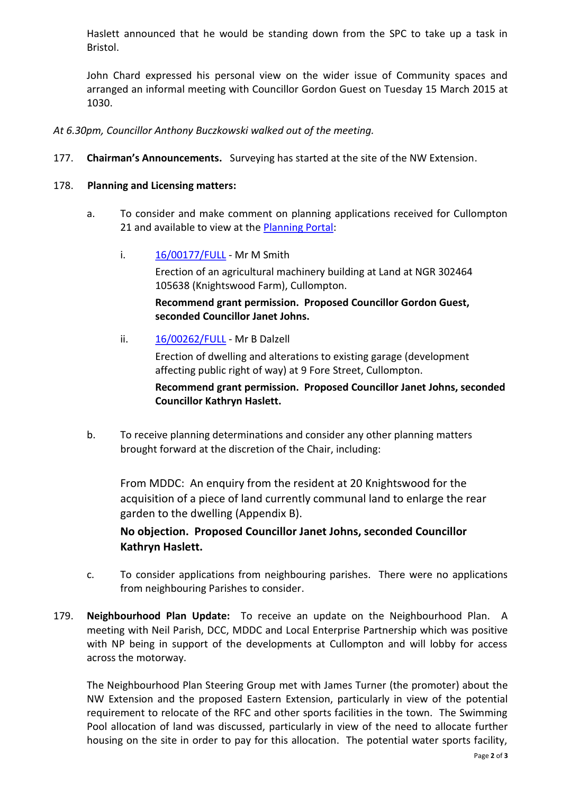Haslett announced that he would be standing down from the SPC to take up a task in Bristol.

John Chard expressed his personal view on the wider issue of Community spaces and arranged an informal meeting with Councillor Gordon Guest on Tuesday 15 March 2015 at 1030.

*At 6.30pm, Councillor Anthony Buczkowski walked out of the meeting.* 

177. **Chairman's Announcements.** Surveying has started at the site of the NW Extension.

## 178. **Planning and Licensing matters:**

- a. To consider and make comment on planning applications received for Cullompton 21 and available to view at the [Planning Portal:](http://planning.middevon.gov.uk/online-applications/refineSearch.do?action=refine)
	- i. [16/00177/FULL](http://docs.middevon.gov.uk/pap/index.asp?caseref=16/00177/FULL)  Mr M Smith

Erection of an agricultural machinery building at Land at NGR 302464 105638 (Knightswood Farm), Cullompton.

**Recommend grant permission. Proposed Councillor Gordon Guest, seconded Councillor Janet Johns.**

ii. [16/00262/FULL](http://docs.middevon.gov.uk/pap/index.asp?caseref=16/00262/FULL) - Mr B Dalzell

Erection of dwelling and alterations to existing garage (development affecting public right of way) at 9 Fore Street, Cullompton.

**Recommend grant permission. Proposed Councillor Janet Johns, seconded Councillor Kathryn Haslett.** 

b. To receive planning determinations and consider any other planning matters brought forward at the discretion of the Chair, including:

From MDDC: An enquiry from the resident at 20 Knightswood for the acquisition of a piece of land currently communal land to enlarge the rear garden to the dwelling (Appendix B).

**No objection. Proposed Councillor Janet Johns, seconded Councillor Kathryn Haslett.** 

- c. To consider applications from neighbouring parishes. There were no applications from neighbouring Parishes to consider.
- 179. **Neighbourhood Plan Update:** To receive an update on the Neighbourhood Plan. A meeting with Neil Parish, DCC, MDDC and Local Enterprise Partnership which was positive with NP being in support of the developments at Cullompton and will lobby for access across the motorway.

The Neighbourhood Plan Steering Group met with James Turner (the promoter) about the NW Extension and the proposed Eastern Extension, particularly in view of the potential requirement to relocate of the RFC and other sports facilities in the town. The Swimming Pool allocation of land was discussed, particularly in view of the need to allocate further housing on the site in order to pay for this allocation. The potential water sports facility,